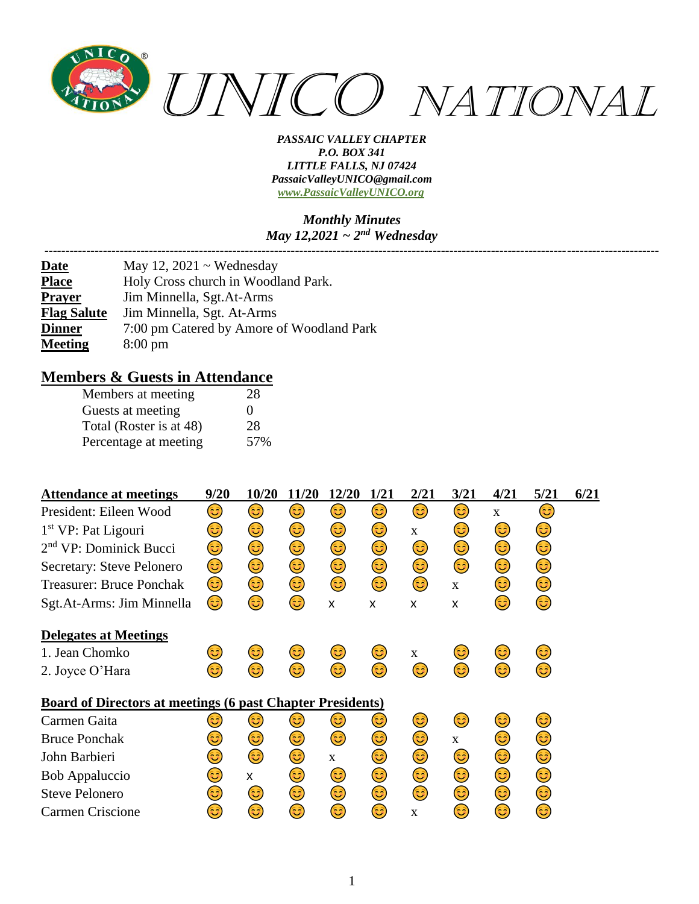

#### *Monthly Minutes May 12,2021 ~ 2nd Wednesday*

*---------------------------------------------------------------------------------------------------------------------------------------------------*

| <b>Date</b>        | May 12, $2021 \sim$ Wednesday             |
|--------------------|-------------------------------------------|
| <b>Place</b>       | Holy Cross church in Woodland Park.       |
| <b>Prayer</b>      | Jim Minnella, Sgt.At-Arms                 |
| <b>Flag Salute</b> | Jim Minnella, Sgt. At-Arms                |
| <b>Dinner</b>      | 7:00 pm Catered by Amore of Woodland Park |
| <b>Meeting</b>     | $8:00 \text{ pm}$                         |

### **Members & Guests in Attendance**

| Members at meeting      | 28  |
|-------------------------|-----|
| Guests at meeting       | 0   |
| Total (Roster is at 48) | 28  |
| Percentage at meeting   | 57% |

| <b>Attendance at meetings</b>                                     | 9/20 | 10/20 | 11/20 | 12/20        | 1/21 | 2/21         | 3/21        | 4/21         | 5/21 | 6/21 |
|-------------------------------------------------------------------|------|-------|-------|--------------|------|--------------|-------------|--------------|------|------|
| President: Eileen Wood                                            | 3    | 3)    | 3)    | 3            | 3)   | 3)           | 3           | $\mathbf{x}$ | 3    |      |
| $1st VP$ : Pat Ligouri                                            | 3)   | 3)    | 3)    | 3)           | 3)   | $\mathbf{X}$ | 3)          | 3)           | 3)   |      |
| 2 <sup>nd</sup> VP: Dominick Bucci                                | 3    | 3)    | ٢     | 3)           | ٢    | 3)           | ٢           | 3)           | 3)   |      |
| Secretary: Steve Pelonero                                         | 3)   | 3)    | ٢     | 3)           | 3)   | ٢            | ٢           | 3)           | 3)   |      |
| <b>Treasurer: Bruce Ponchak</b>                                   | 3)   | 3)    | 3)    | ٢            | 3)   | 3)           | $\mathbf X$ | 3)           | 3)   |      |
| Sgt.At-Arms: Jim Minnella                                         | 6    | 3     | 3     | X            | X    | X            | X           | 3            | (ئُ  |      |
| <b>Delegates at Meetings</b>                                      |      |       |       |              |      |              |             |              |      |      |
| 1. Jean Chomko                                                    | 3    | ತಿ    | 3)    | 3)           | 3)   | $\mathbf{X}$ | ತಿ          | 3            | 3)   |      |
| 2. Joyce O'Hara                                                   | 63   | 63)   | 63)   | 63)          | 63)  | 63           | 3           | 63)          | 63)  |      |
| <b>Board of Directors at meetings (6 past Chapter Presidents)</b> |      |       |       |              |      |              |             |              |      |      |
| Carmen Gaita                                                      | ಡಿ   | ಡಿ    | 3     | ಡಿ           | 3    | 3            | 3           | 3            | 3)   |      |
| <b>Bruce Ponchak</b>                                              | 3    | 3)    | 3)    | 3)           | 3)   | 3)           | $\mathbf X$ | 3)           | ٢    |      |
| John Barbieri                                                     | 3    | 3     | ٢     | $\mathbf{x}$ | 3)   | 3)           | 3)          | 3)           | 3)   |      |
| <b>Bob Appaluccio</b>                                             | ತಿ   | X     | 3)    | 3)           | 3)   | ٢            | 3)          | ٢            | 3)   |      |
| <b>Steve Pelonero</b>                                             | ಡಿ   | 3     | 3)    | 3)           | 6    | 6            | 3)          | 6            | 3    |      |
| Carmen Criscione                                                  | 63   | 3     | 63    | ಡಿ           | ಡಿ   | $\mathbf{x}$ | 3)          | 63           | ಡಿ   |      |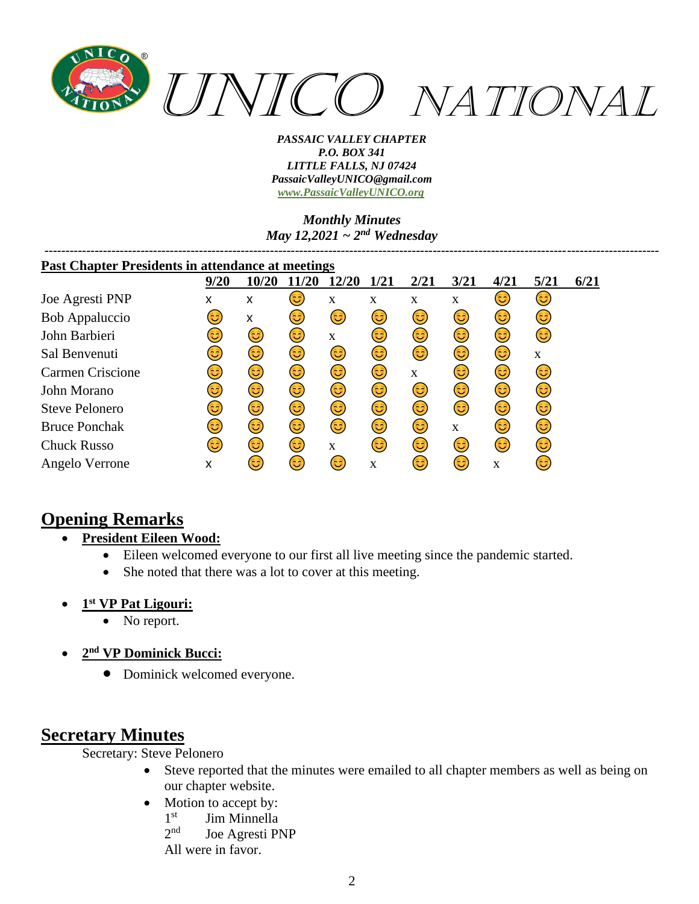

*Monthly Minutes May 12,2021 ~ 2nd Wednesday*

| <b>Past Chapter Presidents in attendance at meetings</b> |      |       |      |       |             |      |              |      |      |      |
|----------------------------------------------------------|------|-------|------|-------|-------------|------|--------------|------|------|------|
|                                                          | 9/20 | 10/20 | 1/20 | 12/20 | <b>1/21</b> | 2/21 | 3/21         | 4/21 | 5/21 | 6/21 |
| Joe Agresti PNP                                          | x    | x     | 3)   | X     | X           | X    | $\mathbf X$  | 3    | 3    |      |
| <b>Bob Appaluccio</b>                                    | ತಿ   | X     | 3)   | 3)    | 3)          | 3)   | 3)           | 3)   | 3)   |      |
| John Barbieri                                            | 3    | 3)    | 3)   | X     | 3)          | 3)   | 3)           | 3)   | 3    |      |
| Sal Benvenuti                                            | ಡಿ   | 3)    | 3)   | 3)    | 3)          | 3    | 6            | 6    | X    |      |
| <b>Carmen Criscione</b>                                  | 3    | 3)    | 3)   | 3)    | 3           | X    | 3            | 6    | 3)   |      |
| John Morano                                              | 3    | 3)    | 3)   | 3)    | 3           | 3    | 3            | (ئ   | 3)   |      |
| <b>Steve Pelonero</b>                                    | 3    | 3)    | 3)   | ٤     | 3           | 6    | 3            | (ئ   | 3)   |      |
| <b>Bruce Ponchak</b>                                     | 3    | 3)    | 3)   | 6     | (ئَ         | 3    | $\mathbf{X}$ | 6    | 3    |      |
| <b>Chuck Russo</b>                                       | ದಿ   | (ئَ   | 3    | X     | 63          | 3    | 3            | (ئَ  | 3    |      |
| Angelo Verrone                                           | X    | ಡಿ    | 3)   | 3)    | $\mathbf X$ | ಡಿ   | 6            | X    | 3    |      |

# **Opening Remarks**

- **President Eileen Wood:**
	- Eileen welcomed everyone to our first all live meeting since the pandemic started.
	- She noted that there was a lot to cover at this meeting.
- **1 st VP Pat Ligouri:**
	- No report.
- **2 nd VP Dominick Bucci:**
	- Dominick welcomed everyone.

# **Secretary Minutes**

Secretary: Steve Pelonero

- Steve reported that the minutes were emailed to all chapter members as well as being on our chapter website.
- Motion to accept by:
	- $1<sup>st</sup>$ Jim Minnella
	- $2^{nd}$ Joe Agresti PNP

All were in favor.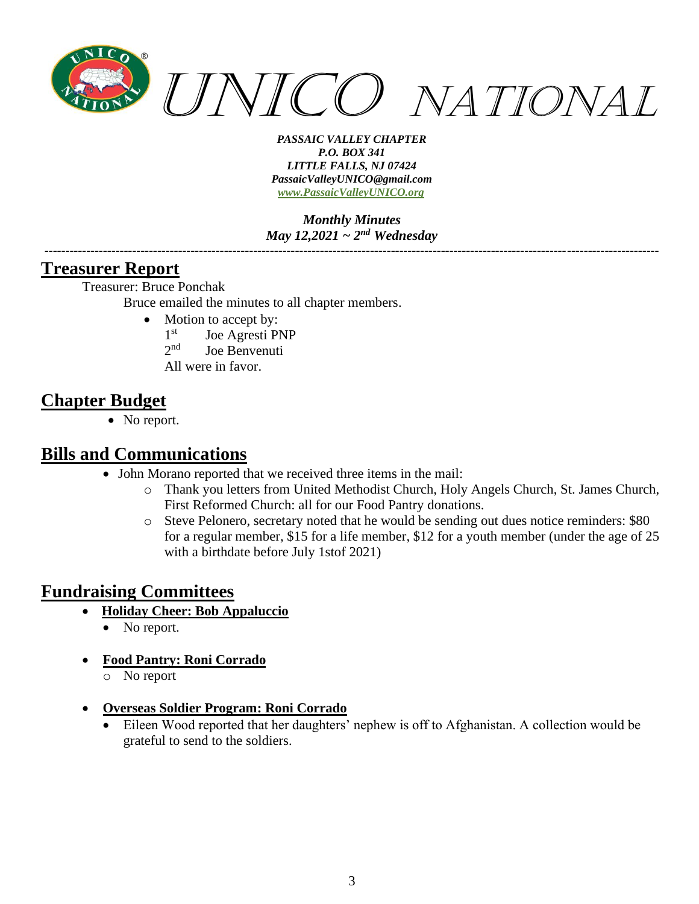

*Monthly Minutes May 12,2021 ~ 2nd Wednesday*

*---------------------------------------------------------------------------------------------------------------------------------------------------*

### **Treasurer Report**

Treasurer: Bruce Ponchak

Bruce emailed the minutes to all chapter members.

- Motion to accept by:
	- 1<sup>st</sup> Joe Agresti PNP
	- $2<sub>nd</sub>$ Joe Benvenuti
	- All were in favor.

# **Chapter Budget**

• No report.

## **Bills and Communications**

- John Morano reported that we received three items in the mail:
	- o Thank you letters from United Methodist Church, Holy Angels Church, St. James Church, First Reformed Church: all for our Food Pantry donations.
	- o Steve Pelonero, secretary noted that he would be sending out dues notice reminders: \$80 for a regular member, \$15 for a life member, \$12 for a youth member (under the age of 25 with a birthdate before July 1stof 2021)

# **Fundraising Committees**

- **Holiday Cheer: Bob Appaluccio**
	- No report.
- **Food Pantry: Roni Corrado**
	- o No report
- **Overseas Soldier Program: Roni Corrado**
	- Eileen Wood reported that her daughters' nephew is off to Afghanistan. A collection would be grateful to send to the soldiers.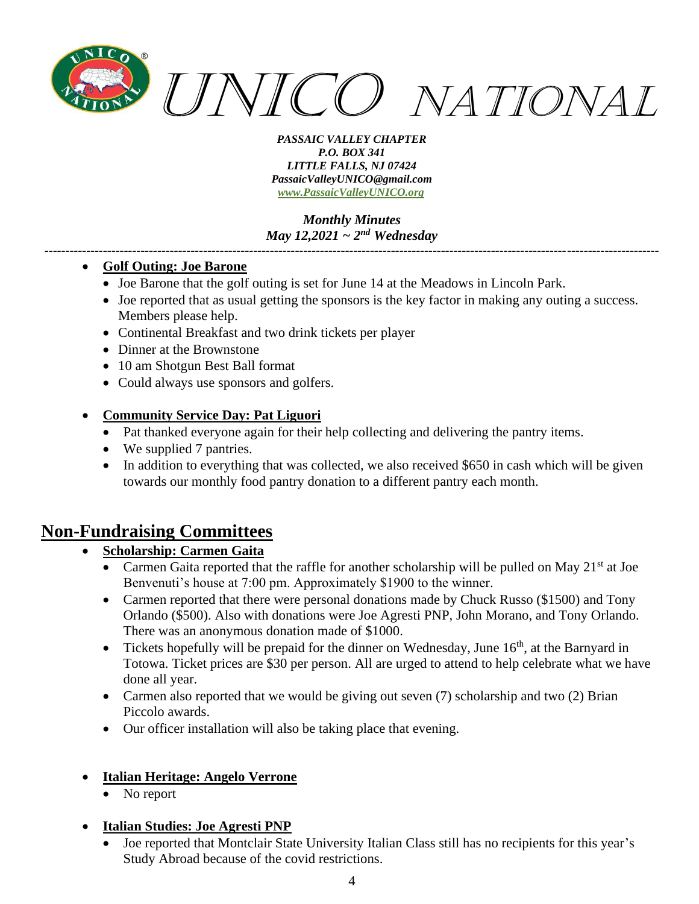

### *Monthly Minutes May 12,2021 ~ 2nd Wednesday*

*---------------------------------------------------------------------------------------------------------------------------------------------------*

### • **Golf Outing: Joe Barone**

- Joe Barone that the golf outing is set for June 14 at the Meadows in Lincoln Park.
- Joe reported that as usual getting the sponsors is the key factor in making any outing a success. Members please help.
- Continental Breakfast and two drink tickets per player
- Dinner at the Brownstone
- 10 am Shotgun Best Ball format
- Could always use sponsors and golfers.

### • **Community Service Day: Pat Liguori**

- Pat thanked everyone again for their help collecting and delivering the pantry items.
- We supplied 7 pantries.
- In addition to everything that was collected, we also received \$650 in cash which will be given towards our monthly food pantry donation to a different pantry each month.

## **Non-Fundraising Committees**

### • **Scholarship: Carmen Gaita**

- Carmen Gaita reported that the raffle for another scholarship will be pulled on May  $21<sup>st</sup>$  at Joe Benvenuti's house at 7:00 pm. Approximately \$1900 to the winner.
- Carmen reported that there were personal donations made by Chuck Russo (\$1500) and Tony Orlando (\$500). Also with donations were Joe Agresti PNP, John Morano, and Tony Orlando. There was an anonymous donation made of \$1000.
- Tickets hopefully will be prepaid for the dinner on Wednesday, June  $16<sup>th</sup>$ , at the Barnyard in Totowa. Ticket prices are \$30 per person. All are urged to attend to help celebrate what we have done all year.
- Carmen also reported that we would be giving out seven (7) scholarship and two (2) Brian Piccolo awards.
- Our officer installation will also be taking place that evening.

### • **Italian Heritage: Angelo Verrone**

No report

### • **Italian Studies: Joe Agresti PNP**

• Joe reported that Montclair State University Italian Class still has no recipients for this year's Study Abroad because of the covid restrictions.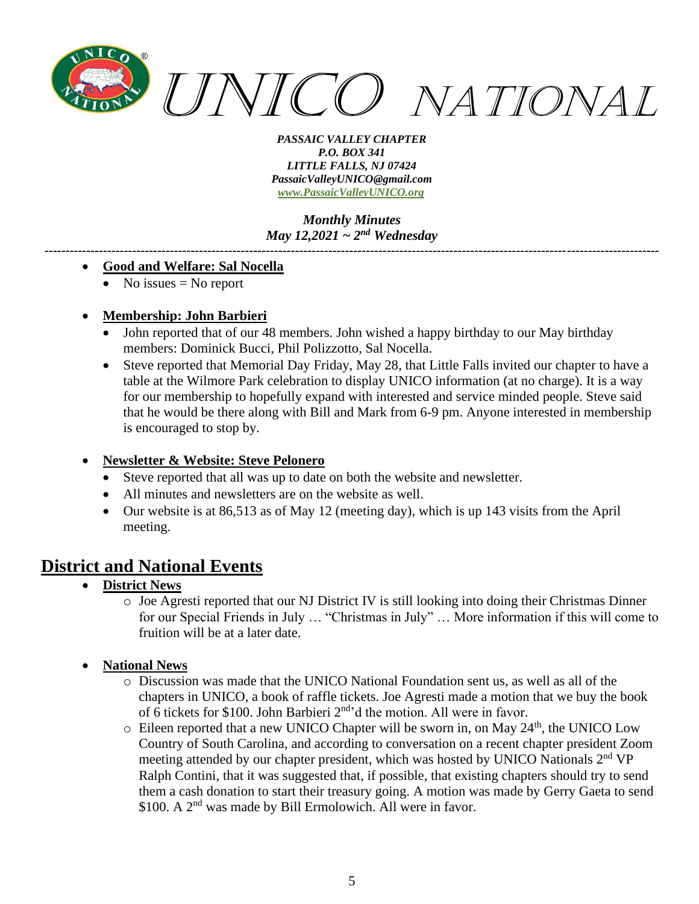

*Monthly Minutes May 12,2021 ~ 2nd Wednesday*

*---------------------------------------------------------------------------------------------------------------------------------------------------*

#### • **Good and Welfare: Sal Nocella**

• No issues  $=$  No report

### • **Membership: John Barbieri**

- John reported that of our 48 members. John wished a happy birthday to our May birthday members: Dominick Bucci, Phil Polizzotto, Sal Nocella.
- Steve reported that Memorial Day Friday, May 28, that Little Falls invited our chapter to have a table at the Wilmore Park celebration to display UNICO information (at no charge). It is a way for our membership to hopefully expand with interested and service minded people. Steve said that he would be there along with Bill and Mark from 6-9 pm. Anyone interested in membership is encouraged to stop by.

### • **Newsletter & Website: Steve Pelonero**

- Steve reported that all was up to date on both the website and newsletter.
- All minutes and newsletters are on the website as well.
- Our website is at 86,513 as of May 12 (meeting day), which is up 143 visits from the April meeting.

## **District and National Events**

- **District News**
	- o Joe Agresti reported that our NJ District IV is still looking into doing their Christmas Dinner for our Special Friends in July … "Christmas in July" … More information if this will come to fruition will be at a later date.
- **National News**
	- o Discussion was made that the UNICO National Foundation sent us, as well as all of the chapters in UNICO, a book of raffle tickets. Joe Agresti made a motion that we buy the book of 6 tickets for \$100. John Barbieri 2nd'd the motion. All were in favor.
	- $\circ$  Eileen reported that a new UNICO Chapter will be sworn in, on May 24<sup>th</sup>, the UNICO Low Country of South Carolina, and according to conversation on a recent chapter president Zoom meeting attended by our chapter president, which was hosted by UNICO Nationals 2<sup>nd</sup> VP Ralph Contini, that it was suggested that, if possible, that existing chapters should try to send them a cash donation to start their treasury going. A motion was made by Gerry Gaeta to send \$100. A 2<sup>nd</sup> was made by Bill Ermolowich. All were in favor.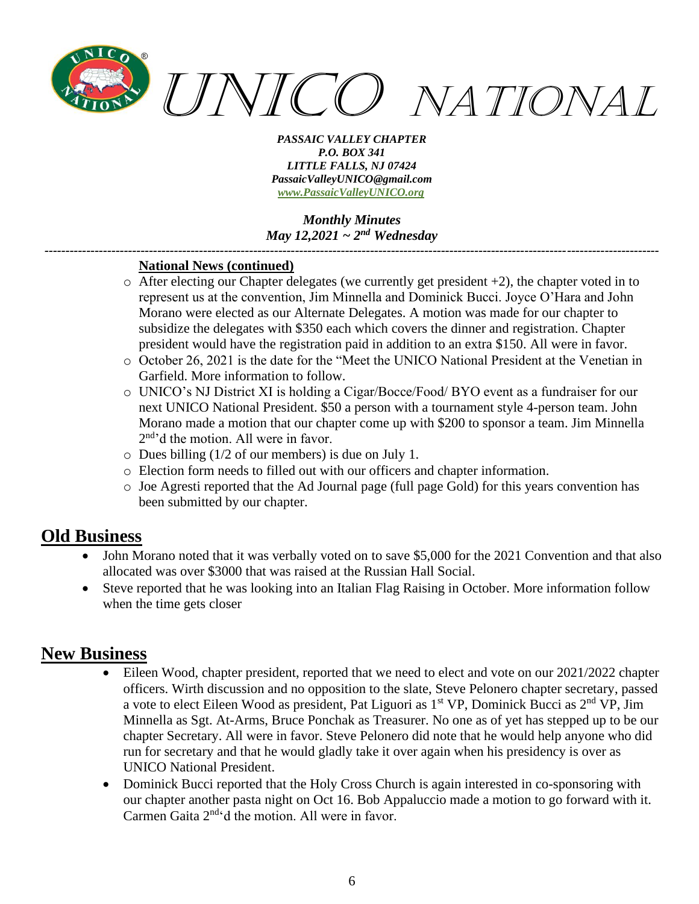

*Monthly Minutes May 12,2021 ~ 2nd Wednesday*

*---------------------------------------------------------------------------------------------------------------------------------------------------*

### **National News (continued)**

- $\circ$  After electing our Chapter delegates (we currently get president +2), the chapter voted in to represent us at the convention, Jim Minnella and Dominick Bucci. Joyce O'Hara and John Morano were elected as our Alternate Delegates. A motion was made for our chapter to subsidize the delegates with \$350 each which covers the dinner and registration. Chapter president would have the registration paid in addition to an extra \$150. All were in favor.
- o October 26, 2021 is the date for the "Meet the UNICO National President at the Venetian in Garfield. More information to follow.
- o UNICO's NJ District XI is holding a Cigar/Bocce/Food/ BYO event as a fundraiser for our next UNICO National President. \$50 a person with a tournament style 4-person team. John Morano made a motion that our chapter come up with \$200 to sponsor a team. Jim Minnella 2<sup>nd</sup>'d the motion. All were in favor.
- o Dues billing (1/2 of our members) is due on July 1.
- o Election form needs to filled out with our officers and chapter information.
- o Joe Agresti reported that the Ad Journal page (full page Gold) for this years convention has been submitted by our chapter.

# **Old Business**

- John Morano noted that it was verbally voted on to save \$5,000 for the 2021 Convention and that also allocated was over \$3000 that was raised at the Russian Hall Social.
- Steve reported that he was looking into an Italian Flag Raising in October. More information follow when the time gets closer

# **New Business**

- Eileen Wood, chapter president, reported that we need to elect and vote on our 2021/2022 chapter officers. Wirth discussion and no opposition to the slate, Steve Pelonero chapter secretary, passed a vote to elect Eileen Wood as president, Pat Liguori as  $1<sup>st</sup> VP$ , Dominick Bucci as  $2<sup>nd</sup> VP$ , Jim Minnella as Sgt. At-Arms, Bruce Ponchak as Treasurer. No one as of yet has stepped up to be our chapter Secretary. All were in favor. Steve Pelonero did note that he would help anyone who did run for secretary and that he would gladly take it over again when his presidency is over as UNICO National President.
- Dominick Bucci reported that the Holy Cross Church is again interested in co-sponsoring with our chapter another pasta night on Oct 16. Bob Appaluccio made a motion to go forward with it. Carmen Gaita 2<sup>nd</sup>'d the motion. All were in favor.